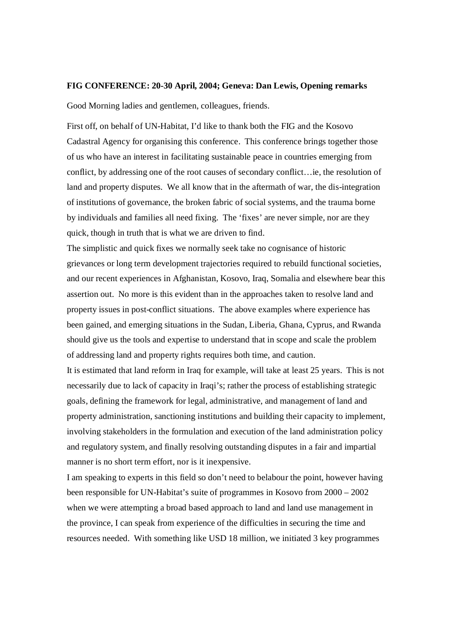## **FIG CONFERENCE: 20-30 April, 2004; Geneva: Dan Lewis, Opening remarks**

Good Morning ladies and gentlemen, colleagues, friends.

First off, on behalf of UN-Habitat, I'd like to thank both the FIG and the Kosovo Cadastral Agency for organising this conference. This conference brings together those of us who have an interest in facilitating sustainable peace in countries emerging from conflict, by addressing one of the root causes of secondary conflict…ie, the resolution of land and property disputes. We all know that in the aftermath of war, the dis-integration of institutions of governance, the broken fabric of social systems, and the trauma borne by individuals and families all need fixing. The 'fixes' are never simple, nor are they quick, though in truth that is what we are driven to find.

The simplistic and quick fixes we normally seek take no cognisance of historic grievances or long term development trajectories required to rebuild functional societies, and our recent experiences in Afghanistan, Kosovo, Iraq, Somalia and elsewhere bear this assertion out. No more is this evident than in the approaches taken to resolve land and property issues in post-conflict situations. The above examples where experience has been gained, and emerging situations in the Sudan, Liberia, Ghana, Cyprus, and Rwanda should give us the tools and expertise to understand that in scope and scale the problem of addressing land and property rights requires both time, and caution.

It is estimated that land reform in Iraq for example, will take at least 25 years. This is not necessarily due to lack of capacity in Iraqi's; rather the process of establishing strategic goals, defining the framework for legal, administrative, and management of land and property administration, sanctioning institutions and building their capacity to implement, involving stakeholders in the formulation and execution of the land administration policy and regulatory system, and finally resolving outstanding disputes in a fair and impartial manner is no short term effort, nor is it inexpensive.

I am speaking to experts in this field so don't need to belabour the point, however having been responsible for UN-Habitat's suite of programmes in Kosovo from 2000 – 2002 when we were attempting a broad based approach to land and land use management in the province, I can speak from experience of the difficulties in securing the time and resources needed. With something like USD 18 million, we initiated 3 key programmes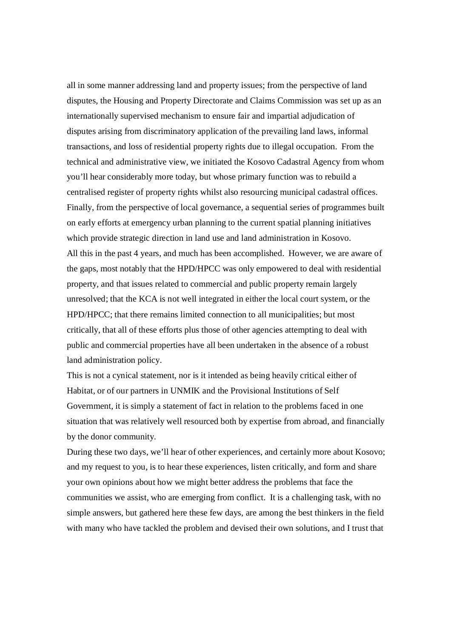all in some manner addressing land and property issues; from the perspective of land disputes, the Housing and Property Directorate and Claims Commission was set up as an internationally supervised mechanism to ensure fair and impartial adjudication of disputes arising from discriminatory application of the prevailing land laws, informal transactions, and loss of residential property rights due to illegal occupation. From the technical and administrative view, we initiated the Kosovo Cadastral Agency from whom you'll hear considerably more today, but whose primary function was to rebuild a centralised register of property rights whilst also resourcing municipal cadastral offices. Finally, from the perspective of local governance, a sequential series of programmes built on early efforts at emergency urban planning to the current spatial planning initiatives which provide strategic direction in land use and land administration in Kosovo. All this in the past 4 years, and much has been accomplished. However, we are aware of the gaps, most notably that the HPD/HPCC was only empowered to deal with residential property, and that issues related to commercial and public property remain largely unresolved; that the KCA is not well integrated in either the local court system, or the HPD/HPCC; that there remains limited connection to all municipalities; but most critically, that all of these efforts plus those of other agencies attempting to deal with public and commercial properties have all been undertaken in the absence of a robust land administration policy.

This is not a cynical statement, nor is it intended as being heavily critical either of Habitat, or of our partners in UNMIK and the Provisional Institutions of Self Government, it is simply a statement of fact in relation to the problems faced in one situation that was relatively well resourced both by expertise from abroad, and financially by the donor community.

During these two days, we'll hear of other experiences, and certainly more about Kosovo; and my request to you, is to hear these experiences, listen critically, and form and share your own opinions about how we might better address the problems that face the communities we assist, who are emerging from conflict. It is a challenging task, with no simple answers, but gathered here these few days, are among the best thinkers in the field with many who have tackled the problem and devised their own solutions, and I trust that